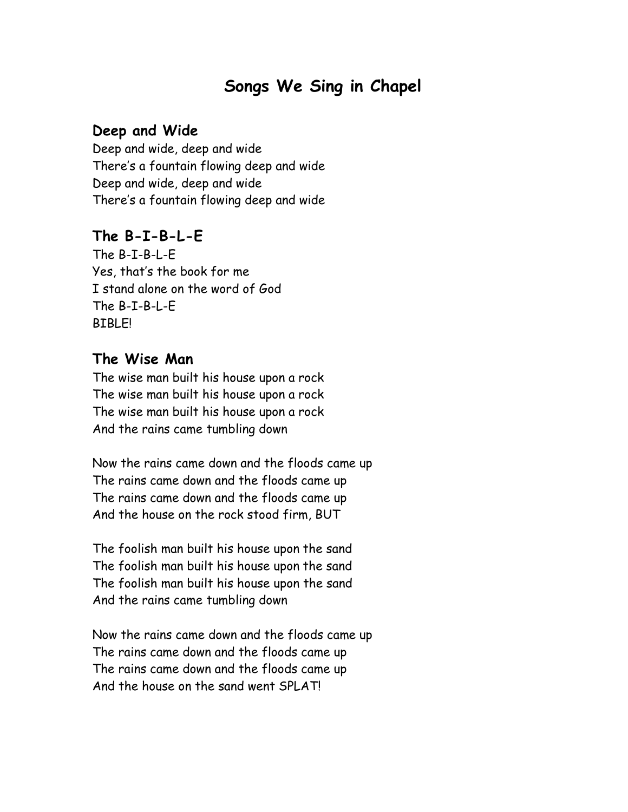# **Songs We Sing in Chapel**

### **Deep and Wide**

Deep and wide, deep and wide There's a fountain flowing deep and wide Deep and wide, deep and wide There's a fountain flowing deep and wide

### **The B-I-B-L-E**

The B-I-B-L-E Yes, that's the book for me I stand alone on the word of God The B-I-B-L-E BIBLE!

### **The Wise Man**

The wise man built his house upon a rock The wise man built his house upon a rock The wise man built his house upon a rock And the rains came tumbling down

Now the rains came down and the floods came up The rains came down and the floods came up The rains came down and the floods came up And the house on the rock stood firm, BUT

The foolish man built his house upon the sand The foolish man built his house upon the sand The foolish man built his house upon the sand And the rains came tumbling down

Now the rains came down and the floods came up The rains came down and the floods came up The rains came down and the floods came up And the house on the sand went SPLAT!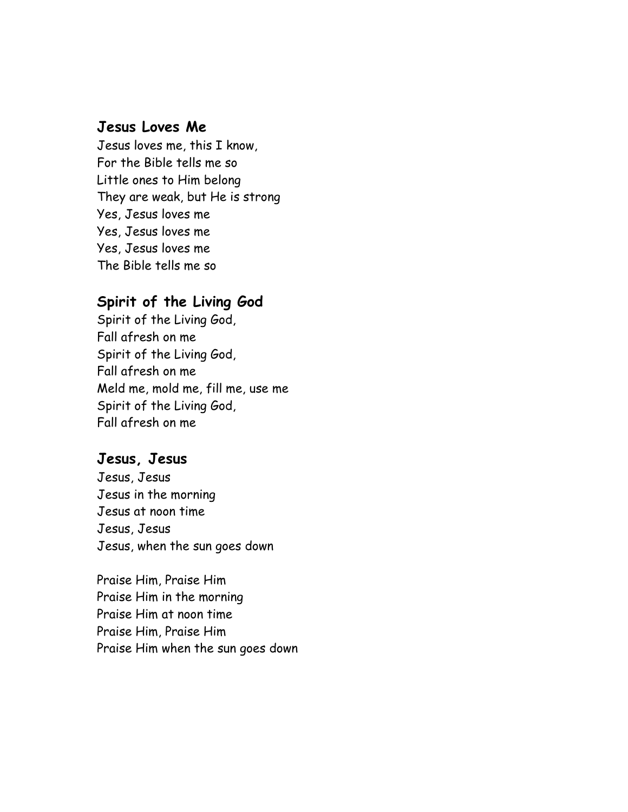### **Jesus Loves Me**

Jesus loves me, this I know, For the Bible tells me so Little ones to Him belong They are weak, but He is strong Yes, Jesus loves me Yes, Jesus loves me Yes, Jesus loves me The Bible tells me so

### **Spirit of the Living God**

Spirit of the Living God, Fall afresh on me Spirit of the Living God, Fall afresh on me Meld me, mold me, fill me, use me Spirit of the Living God, Fall afresh on me

### **Jesus, Jesus**

Jesus, Jesus Jesus in the morning Jesus at noon time Jesus, Jesus Jesus, when the sun goes down

Praise Him, Praise Him Praise Him in the morning Praise Him at noon time Praise Him, Praise Him Praise Him when the sun goes down